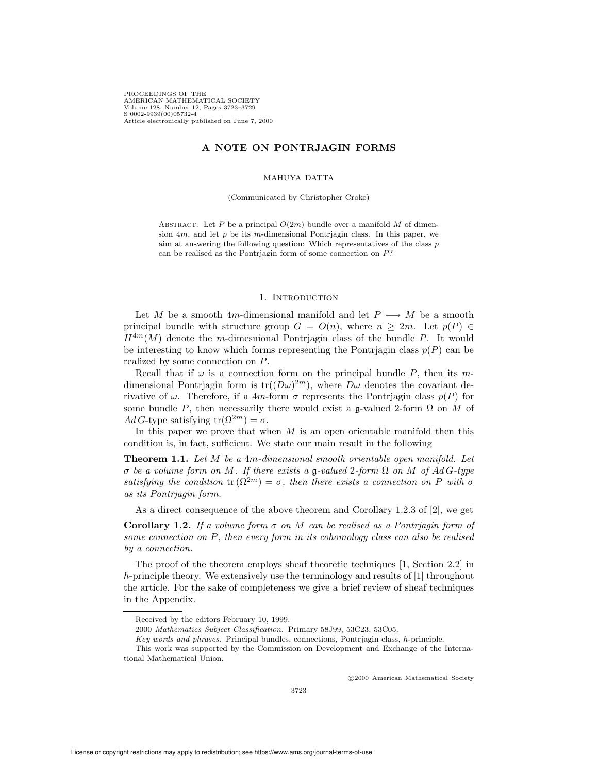PROCEEDINGS OF THE AMERICAN MATHEMATICAL SOCIETY Volume 128, Number 12, Pages 3723–3729 S 0002-9939(00)05732-4 Article electronically published on June 7, 2000

# A NOTE ON PONTRJAGIN FORMS

### MAHUYA DATTA

(Communicated by Christopher Croke)

ABSTRACT. Let P be a principal  $O(2m)$  bundle over a manifold M of dimension  $4m$ , and let p be its m-dimensional Pontrjagin class. In this paper, we aim at answering the following question: Which representatives of the class  $p$ can be realised as the Pontrjagin form of some connection on P?

### 1. INTRODUCTION

Let M be a smooth 4m-dimensional manifold and let  $P \longrightarrow M$  be a smooth principal bundle with structure group  $G = O(n)$ , where  $n \geq 2m$ . Let  $p(P) \in$  $H^{4m}(M)$  denote the m-dimesnional Pontrjagin class of the bundle P. It would be interesting to know which forms representing the Pontrjagin class  $p(P)$  can be realized by some connection on P.

Recall that if  $\omega$  is a connection form on the principal bundle P, then its mdimensional Pontrjagin form is  $tr((D\omega)^{2m})$ , where  $D\omega$  denotes the covariant derivative of  $\omega$ . Therefore, if a 4m-form  $\sigma$  represents the Pontrjagin class  $p(P)$  for some bundle P, then necessarily there would exist a g-valued 2-form  $\Omega$  on M of AdG-type satisfying  $tr(\Omega^{2m}) = \sigma$ .

In this paper we prove that when  $M$  is an open orientable manifold then this condition is, in fact, sufficient. We state our main result in the following

Theorem 1.1. Let M be a 4m-dimensional smooth orientable open manifold. Let σ be a volume form on M. If there exists a g-valued 2-form  $Ω$  on M of AdG-type satisfying the condition tr  $(\Omega^{2m}) = \sigma$ , then there exists a connection on P with  $\sigma$ as its Pontrjagin form.

As a direct consequence of the above theorem and Corollary 1.2.3 of [2], we get

**Corollary 1.2.** If a volume form  $\sigma$  on M can be realised as a Pontriagin form of some connection on  $P$ , then every form in its cohomology class can also be realised by a connection.

The proof of the theorem employs sheaf theoretic techniques [1, Section 2.2] in h-principle theory. We extensively use the terminology and results of [1] throughout the article. For the sake of completeness we give a brief review of sheaf techniques in the Appendix.

c 2000 American Mathematical Society

Received by the editors February 10, 1999.

<sup>2000</sup> Mathematics Subject Classification. Primary 58J99, 53C23, 53C05.

Key words and phrases. Principal bundles, connections, Pontrjagin class, h-principle.

This work was supported by the Commission on Development and Exchange of the International Mathematical Union.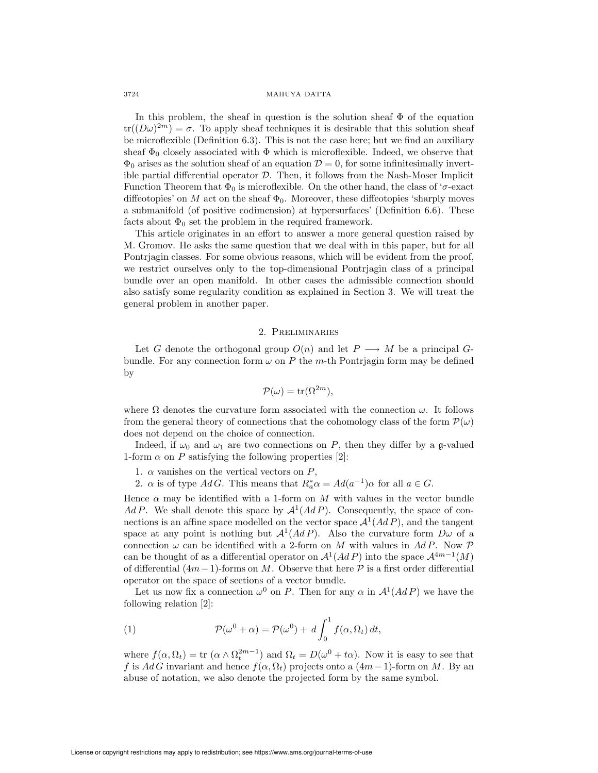#### 3724 MAHUYA DATTA

In this problem, the sheaf in question is the solution sheaf  $\Phi$  of the equation  $tr((D\omega)^{2m}) = \sigma$ . To apply sheaf techniques it is desirable that this solution sheaf be microflexible (Definition 6.3). This is not the case here; but we find an auxiliary sheaf  $\Phi_0$  closely associated with  $\Phi$  which is microflexible. Indeed, we observe that  $\Phi_0$  arises as the solution sheaf of an equation  $\mathcal{D} = 0$ , for some infinitesimally invertible partial differential operator  $D$ . Then, it follows from the Nash-Moser Implicit Function Theorem that  $\Phi_0$  is microflexible. On the other hand, the class of ' $\sigma$ -exact diffeotopies' on  $M$  act on the sheaf  $\Phi_0$ . Moreover, these diffeotopies 'sharply moves a submanifold (of positive codimension) at hypersurfaces' (Definition 6.6). These facts about  $\Phi_0$  set the problem in the required framework.

This article originates in an effort to answer a more general question raised by M. Gromov. He asks the same question that we deal with in this paper, but for all Pontrjagin classes. For some obvious reasons, which will be evident from the proof, we restrict ourselves only to the top-dimensional Pontrjagin class of a principal bundle over an open manifold. In other cases the admissible connection should also satisfy some regularity condition as explained in Section 3. We will treat the general problem in another paper.

## 2. Preliminaries

Let G denote the orthogonal group  $O(n)$  and let  $P \longrightarrow M$  be a principal Gbundle. For any connection form  $\omega$  on P the m-th Pontrjagin form may be defined by

$$
\mathcal{P}(\omega) = \text{tr}(\Omega^{2m}),
$$

where  $\Omega$  denotes the curvature form associated with the connection  $\omega$ . It follows from the general theory of connections that the cohomology class of the form  $\mathcal{P}(\omega)$ does not depend on the choice of connection.

Indeed, if  $\omega_0$  and  $\omega_1$  are two connections on P, then they differ by a g-valued 1-form  $\alpha$  on P satisfying the following properties [2]:

- 1.  $\alpha$  vanishes on the vertical vectors on  $P$ ,
- 2.  $\alpha$  is of type AdG. This means that  $R_a^* \alpha = Ad(a^{-1})\alpha$  for all  $a \in G$ .

Hence  $\alpha$  may be identified with a 1-form on M with values in the vector bundle Ad P. We shall denote this space by  $\mathcal{A}^1(AdP)$ . Consequently, the space of connections is an affine space modelled on the vector space  $\mathcal{A}^1(AdP)$ , and the tangent space at any point is nothing but  $\mathcal{A}^1(AdP)$ . Also the curvature form  $D\omega$  of a connection  $\omega$  can be identified with a 2-form on M with values in AdP. Now P can be thought of as a differential operator on  $\mathcal{A}^1(AdP)$  into the space  $\mathcal{A}^{4m-1}(M)$ of differential  $(4m-1)$ -forms on M. Observe that here  $P$  is a first order differential operator on the space of sections of a vector bundle.

Let us now fix a connection  $\omega^0$  on P. Then for any  $\alpha$  in  $\mathcal{A}^1(AdP)$  we have the following relation [2]:

(1) 
$$
\mathcal{P}(\omega^0 + \alpha) = \mathcal{P}(\omega^0) + d \int_0^1 f(\alpha, \Omega_t) dt,
$$

where  $f(\alpha, \Omega_t) = \text{tr}(\alpha \wedge \Omega_t^{2m-1})$  and  $\Omega_t = D(\omega^0 + t\alpha)$ . Now it is easy to see that f is AdG invariant and hence  $f(\alpha, \Omega_t)$  projects onto a  $(4m-1)$ -form on M. By an abuse of notation, we also denote the projected form by the same symbol.

License or copyright restrictions may apply to redistribution; see https://www.ams.org/journal-terms-of-use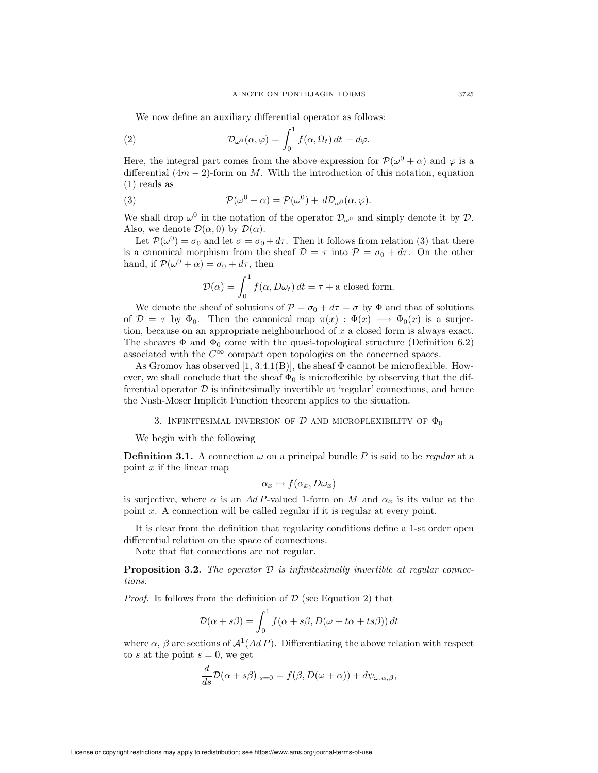We now define an auxiliary differential operator as follows:

(2) 
$$
\mathcal{D}_{\omega^0}(\alpha,\varphi) = \int_0^1 f(\alpha,\Omega_t) dt + d\varphi.
$$

Here, the integral part comes from the above expression for  $\mathcal{P}(\omega^0 + \alpha)$  and  $\varphi$  is a differential  $(4m - 2)$ -form on M. With the introduction of this notation, equation (1) reads as

(3) 
$$
\mathcal{P}(\omega^0 + \alpha) = \mathcal{P}(\omega^0) + d\mathcal{D}_{\omega^0}(\alpha, \varphi).
$$

We shall drop  $\omega^0$  in the notation of the operator  $\mathcal{D}_{\omega^0}$  and simply denote it by  $\mathcal{D}$ . Also, we denote  $\mathcal{D}(\alpha,0)$  by  $\mathcal{D}(\alpha)$ .

Let  $\mathcal{P}(\omega^0) = \sigma_0$  and let  $\sigma = \sigma_0 + d\tau$ . Then it follows from relation (3) that there is a canonical morphism from the sheaf  $\mathcal{D} = \tau$  into  $\mathcal{P} = \sigma_0 + d\tau$ . On the other hand, if  $\mathcal{P}(\omega^0 + \alpha) = \sigma_0 + d\tau$ , then

$$
\mathcal{D}(\alpha) = \int_0^1 f(\alpha, D\omega_t) dt = \tau + \text{a closed form.}
$$

We denote the sheaf of solutions of  $\mathcal{P} = \sigma_0 + d\tau = \sigma$  by  $\Phi$  and that of solutions of  $\mathcal{D} = \tau$  by  $\Phi_0$ . Then the canonical map  $\pi(x) : \Phi(x) \longrightarrow \Phi_0(x)$  is a surjection, because on an appropriate neighbourhood of  $x$  a closed form is always exact. The sheaves  $\Phi$  and  $\Phi_0$  come with the quasi-topological structure (Definition 6.2) associated with the  $C^\infty$  compact open topologies on the concerned spaces.

As Gromov has observed  $[1, 3.4.1(B)]$ , the sheaf  $\Phi$  cannot be microflexible. However, we shall conclude that the sheaf  $\Phi_0$  is microflexible by observing that the differential operator  $\mathcal D$  is infinitesimally invertible at 'regular' connections, and hence the Nash-Moser Implicit Function theorem applies to the situation.

## 3. INFINITESIMAL INVERSION OF  $D$  and microflexibility of  $\Phi_0$

We begin with the following

**Definition 3.1.** A connection  $\omega$  on a principal bundle P is said to be regular at a point  $x$  if the linear map

$$
\alpha_x \mapsto f(\alpha_x, D\omega_x)
$$

is surjective, where  $\alpha$  is an AdP-valued 1-form on M and  $\alpha_x$  is its value at the point x. A connection will be called regular if it is regular at every point.

It is clear from the definition that regularity conditions define a 1-st order open differential relation on the space of connections.

Note that flat connections are not regular.

**Proposition 3.2.** The operator  $D$  is infinitesimally invertible at regular connections.

*Proof.* It follows from the definition of  $D$  (see Equation 2) that

$$
\mathcal{D}(\alpha + s\beta) = \int_0^1 f(\alpha + s\beta, D(\omega + t\alpha + ts\beta)) dt
$$

where  $\alpha$ ,  $\beta$  are sections of  $\mathcal{A}^1(AdP)$ . Differentiating the above relation with respect to s at the point  $s = 0$ , we get

$$
\frac{d}{ds}\mathcal{D}(\alpha+s\beta)|_{s=0}=f(\beta,D(\omega+\alpha))+d\psi_{\omega,\alpha,\beta},
$$

License or copyright restrictions may apply to redistribution; see https://www.ams.org/journal-terms-of-use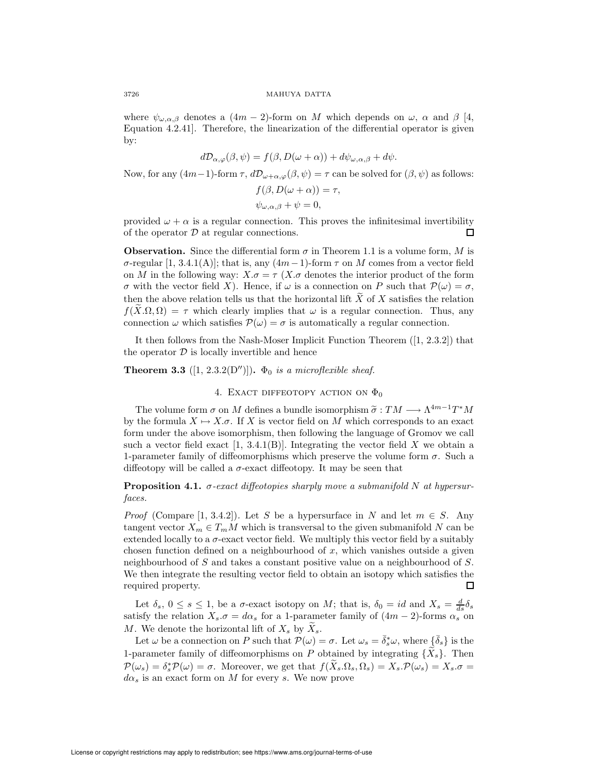3726 MAHUYA DATTA

where  $\psi_{\omega,\alpha,\beta}$  denotes a  $(4m-2)$ -form on M which depends on  $\omega$ ,  $\alpha$  and  $\beta$  [4, Equation 4.2.41]. Therefore, the linearization of the differential operator is given by:

$$
d\mathcal{D}_{\alpha,\varphi}(\beta,\psi) = f(\beta,D(\omega+\alpha)) + d\psi_{\omega,\alpha,\beta} + d\psi.
$$

Now, for any  $(4m-1)$ -form  $\tau$ ,  $d\mathcal{D}_{\omega+\alpha,\varphi}(\beta,\psi)=\tau$  can be solved for  $(\beta,\psi)$  as follows:

$$
f(\beta, D(\omega + \alpha)) = \alpha
$$

$$
\psi_{\omega,\alpha,\beta} + \psi = 0,
$$

provided  $\omega + \alpha$  is a regular connection. This proves the infinitesimal invertibility of the operator  $D$  at regular connections. Π

**Observation.** Since the differential form  $\sigma$  in Theorem 1.1 is a volume form, M is  $\sigma$ -regular [1, 3.4.1(A)]; that is, any  $(4m-1)$ -form  $\tau$  on M comes from a vector field on M in the following way:  $X.\sigma = \tau (X.\sigma$  denotes the interior product of the form σ with the vector field X). Hence, if  $ω$  is a connection on P such that  $P(ω) = σ$ , then the above relation tells us that the horizontal lift  $\tilde{X}$  of X satisfies the relation  $f(X, \Omega, \Omega) = \tau$  which clearly implies that  $\omega$  is a regular connection. Thus, any connection  $\omega$  which satisfies  $\mathcal{P}(\omega) = \sigma$  is automatically a regular connection.

It then follows from the Nash-Moser Implicit Function Theorem ([1, 2.3.2]) that the operator  $\mathcal D$  is locally invertible and hence

**Theorem 3.3** ([1, 2.3.2(D'')]).  $\Phi_0$  is a microflexible sheaf.

# 4. EXACT DIFFEOTOPY ACTION ON  $\Phi_0$

The volume form  $\sigma$  on M defines a bundle isomorphism  $\tilde{\sigma}: TM \longrightarrow \Lambda^{4m-1}T^*M$ by the formula  $X \mapsto X.\sigma$ . If X is vector field on M which corresponds to an exact form under the above isomorphism, then following the language of Gromov we call such a vector field exact  $[1, 3.4.1(B)]$ . Integrating the vector field X we obtain a 1-parameter family of diffeomorphisms which preserve the volume form  $\sigma$ . Such a diffeotopy will be called a  $\sigma$ -exact diffeotopy. It may be seen that

**Proposition 4.1.**  $\sigma$ -exact diffeotopies sharply move a submanifold N at hypersurfaces.

*Proof* (Compare [1, 3.4.2]). Let S be a hypersurface in N and let  $m \in S$ . Any tangent vector  $X_m \in T_mM$  which is transversal to the given submanifold N can be extended locally to a  $\sigma$ -exact vector field. We multiply this vector field by a suitably chosen function defined on a neighbourhood of  $x$ , which vanishes outside a given neighbourhood of S and takes a constant positive value on a neighbourhood of S. We then integrate the resulting vector field to obtain an isotopy which satisfies the required property. ◻

Let  $\delta_s$ ,  $0 \le s \le 1$ , be a  $\sigma$ -exact isotopy on M; that is,  $\delta_0 = id$  and  $X_s = \frac{d}{ds} \delta_s$ satisfy the relation  $X_s.\sigma = d\alpha_s$  for a 1-parameter family of  $(4m - 2)$ -forms  $\alpha_s$  on M. We denote the horizontal lift of  $X_s$  by  $\widetilde{X}_s$ .

Let  $\omega$  be a connection on P such that  $\mathcal{P}(\omega) = \sigma$ . Let  $\omega_s = \bar{\delta}_s^* \omega$ , where  $\{\bar{\delta}_s\}$  is the 1-parameter family of diffeomorphisms on P obtained by integrating  $\{X_s\}$ . Then  $\mathcal{P}(\omega_s) = \delta_s^* \mathcal{P}(\omega) = \sigma$ . Moreover, we get that  $f(\widetilde{X}_s \Omega_s, \Omega_s) = X_s \mathcal{P}(\omega_s) = X_s \mathcal{P}(\omega_s)$  $d\alpha_s$  is an exact form on M for every s. We now prove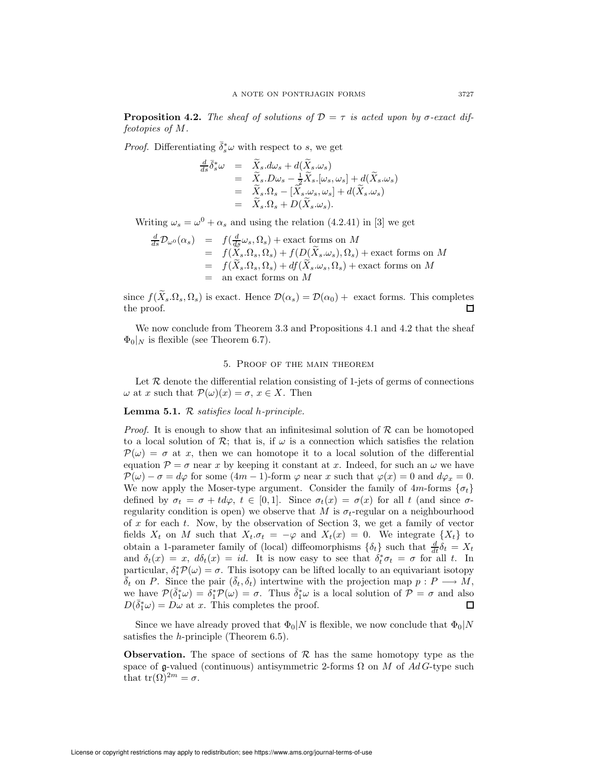**Proposition 4.2.** The sheaf of solutions of  $\mathcal{D} = \tau$  is acted upon by  $\sigma$ -exact diffeotopies of M.

*Proof.* Differentiating  $\bar{\delta}_s^* \omega$  with respect to s, we get

$$
\frac{d}{ds}\overline{\delta}_s^*\omega = \widetilde{X}_s.d\omega_s + d(\widetilde{X}_s.\omega_s)
$$
  
\n
$$
= \widetilde{X}_s.D\omega_s - \frac{1}{2}\widetilde{X}_s.[\omega_s,\omega_s] + d(\widetilde{X}_s.\omega_s)
$$
  
\n
$$
= \widetilde{X}_s.\Omega_s - [\widetilde{X}_s.\omega_s,\omega_s] + d(\widetilde{X}_s.\omega_s)
$$
  
\n
$$
= \widetilde{X}_s.\Omega_s + D(\widetilde{X}_s.\omega_s).
$$

Writing  $\omega_s = \omega^0 + \alpha_s$  and using the relation (4.2.41) in [3] we get

$$
\frac{d}{ds} \mathcal{D}_{\omega^0}(\alpha_s) = f(\frac{d}{ds} \omega_s, \Omega_s) + \text{exact forms on } M
$$
  
\n
$$
= f(X_s, \Omega_s, \Omega_s) + f(D(\widetilde{X}_s, \omega_s), \Omega_s) + \text{exact forms on } M
$$
  
\n
$$
= f(\widetilde{X}_s, \Omega_s, \Omega_s) + df(\widetilde{X}_s, \omega_s, \Omega_s) + \text{exact forms on } M
$$
  
\n
$$
= \text{an exact forms on } M
$$

since  $f(\widetilde{X}_s.\Omega_s, \Omega_s)$  is exact. Hence  $\mathcal{D}(\alpha_s) = \mathcal{D}(\alpha_0) +$  exact forms. This completes the proof. the proof.

We now conclude from Theorem 3.3 and Propositions 4.1 and 4.2 that the sheaf  $\Phi_0|_N$  is flexible (see Theorem 6.7).

## 5. Proof of the main theorem

Let  $R$  denote the differential relation consisting of 1-jets of germs of connections  $\omega$  at x such that  $\mathcal{P}(\omega)(x) = \sigma, x \in X$ . Then

# **Lemma 5.1.**  $\mathcal{R}$  satisfies local h-principle.

*Proof.* It is enough to show that an infinitesimal solution of  $\mathcal R$  can be homotoped to a local solution of  $\mathcal{R}$ ; that is, if  $\omega$  is a connection which satisfies the relation  $\mathcal{P}(\omega) = \sigma$  at x, then we can homotope it to a local solution of the differential equation  $\mathcal{P} = \sigma$  near x by keeping it constant at x. Indeed, for such an  $\omega$  we have  $\mathcal{P}(\omega) - \sigma = d\varphi$  for some  $(4m - 1)$ -form  $\varphi$  near x such that  $\varphi(x) = 0$  and  $d\varphi_x = 0$ . We now apply the Moser-type argument. Consider the family of  $4m$ -forms  $\{\sigma_t\}$ defined by  $\sigma_t = \sigma + td\varphi$ ,  $t \in [0,1]$ . Since  $\sigma_t(x) = \sigma(x)$  for all t (and since  $\sigma$ regularity condition is open) we observe that M is  $\sigma_t$ -regular on a neighbourhood of  $x$  for each  $t$ . Now, by the observation of Section 3, we get a family of vector fields  $X_t$  on M such that  $X_t.\sigma_t = -\varphi$  and  $X_t(x) = 0$ . We integrate  $\{X_t\}$  to obtain a 1-parameter family of (local) diffeomorphisms  $\{\delta_t\}$  such that  $\frac{d}{dt}\delta_t = X_t$ and  $\delta_t(x) = x$ ,  $d\delta_t(x) = id$ . It is now easy to see that  $\delta_t^* \sigma_t = \sigma$  for all t. In particular,  $\delta_1^* \mathcal{P}(\omega) = \sigma$ . This isotopy can be lifted locally to an equivariant isotopy  $\delta_t$  on P. Since the pair  $(\delta_t, \delta_t)$  intertwine with the projection map  $p : P \longrightarrow M$ , we have  $\mathcal{P}(\bar{\delta}_1^*\omega) = \delta_1^*\mathcal{P}(\omega) = \sigma$ . Thus  $\bar{\delta}_1^*\omega$  is a local solution of  $\mathcal{P} = \sigma$  and also  $D(\bar{\delta}_1^*\omega) = D\omega$  at x. This completes the proof. П

Since we have already proved that  $\Phi_0|N$  is flexible, we now conclude that  $\Phi_0|N$ satisfies the h-principle (Theorem 6.5).

**Observation.** The space of sections of  $\mathcal{R}$  has the same homotopy type as the space of g-valued (continuous) antisymmetric 2-forms  $\Omega$  on M of AdG-type such that  $tr(\Omega)^{2m} = \sigma$ .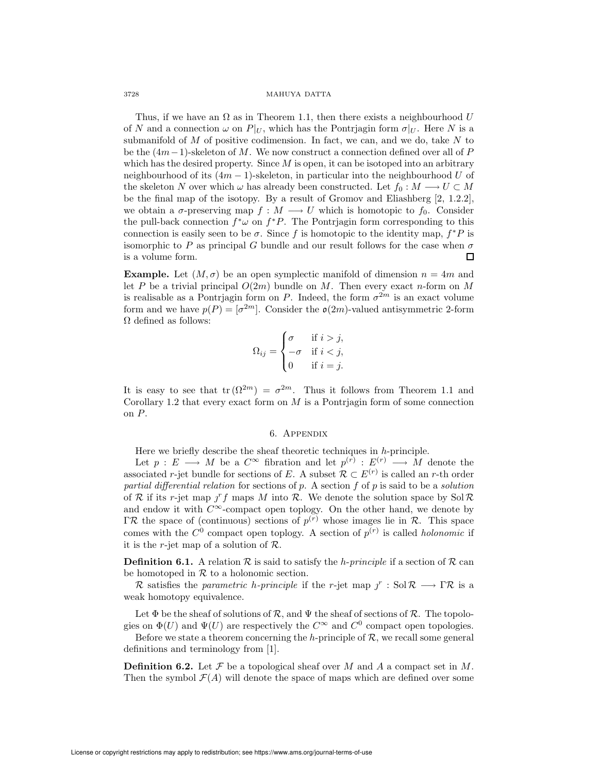#### 3728 MAHUYA DATTA

Thus, if we have an  $\Omega$  as in Theorem 1.1, then there exists a neighbourhood U of N and a connection  $\omega$  on  $P|_U$ , which has the Pontrjagin form  $\sigma|_U$ . Here N is a submanifold of  $M$  of positive codimension. In fact, we can, and we do, take  $N$  to be the  $(4m-1)$ -skeleton of M. We now construct a connection defined over all of P which has the desired property. Since  $M$  is open, it can be isotoped into an arbitrary neighbourhood of its  $(4m - 1)$ -skeleton, in particular into the neighbourhood U of the skeleton N over which  $\omega$  has already been constructed. Let  $f_0 : M \longrightarrow U \subset M$ be the final map of the isotopy. By a result of Gromov and Eliashberg [2, 1.2.2], we obtain a  $\sigma$ -preserving map  $f : M \longrightarrow U$  which is homotopic to  $f_0$ . Consider the pull-back connection  $f^*\omega$  on  $f^*P$ . The Pontrjagin form corresponding to this connection is easily seen to be  $\sigma$ . Since f is homotopic to the identity map,  $f^*P$  is isomorphic to P as principal G bundle and our result follows for the case when  $\sigma$ is a volume form. 口

**Example.** Let  $(M, \sigma)$  be an open symplectic manifold of dimension  $n = 4m$  and let P be a trivial principal  $O(2m)$  bundle on M. Then every exact n-form on M is realisable as a Pontrjagin form on P. Indeed, the form  $\sigma^{2m}$  is an exact volume form and we have  $p(P) = [\sigma^{2m}]$ . Consider the  $\mathfrak{o}(2m)$ -valued antisymmetric 2-form  $\Omega$  defined as follows:

$$
\Omega_{ij} = \begin{cases} \sigma & \text{if } i > j, \\ -\sigma & \text{if } i < j, \\ 0 & \text{if } i = j. \end{cases}
$$

It is easy to see that  $tr(\Omega^{2m}) = \sigma^{2m}$ . Thus it follows from Theorem 1.1 and Corollary 1.2 that every exact form on  $M$  is a Pontrjagin form of some connection on P.

## 6. Appendix

Here we briefly describe the sheaf theoretic techniques in  $h$ -principle.

Let  $p: E \longrightarrow M$  be a  $C^{\infty}$  fibration and let  $p^{(r)}: E^{(r)} \longrightarrow M$  denote the associated r-jet bundle for sections of E. A subset  $\mathcal{R} \subset E^{(r)}$  is called an r-th order partial differential relation for sections of p. A section  $f$  of p is said to be a solution of R if its r-jet map  $f$  maps M into R. We denote the solution space by Sol R and endow it with  $C^{\infty}$ -compact open toplogy. On the other hand, we denote by  $\Gamma \mathcal{R}$  the space of (continuous) sections of  $p^{(r)}$  whose images lie in  $\mathcal{R}$ . This space comes with the  $C^0$  compact open toplogy. A section of  $p^{(r)}$  is called *holonomic* if it is the *r*-jet map of a solution of  $\mathcal{R}$ .

**Definition 6.1.** A relation  $\mathcal R$  is said to satisfy the *h-principle* if a section of  $\mathcal R$  can be homotoped in  $R$  to a holonomic section.

R satisfies the parametric h-principle if the r-jet map  $j^r : \text{Sol } R \longrightarrow \Gamma \mathcal{R}$  is a weak homotopy equivalence.

Let  $\Phi$  be the sheaf of solutions of  $\mathcal{R}$ , and  $\Psi$  the sheaf of sections of  $\mathcal{R}$ . The topologies on  $\Phi(U)$  and  $\Psi(U)$  are respectively the  $C^{\infty}$  and  $C^0$  compact open topologies.

Before we state a theorem concerning the h-principle of  $R$ , we recall some general definitions and terminology from [1].

**Definition 6.2.** Let  $\mathcal F$  be a topological sheaf over M and A a compact set in M. Then the symbol  $\mathcal{F}(A)$  will denote the space of maps which are defined over some